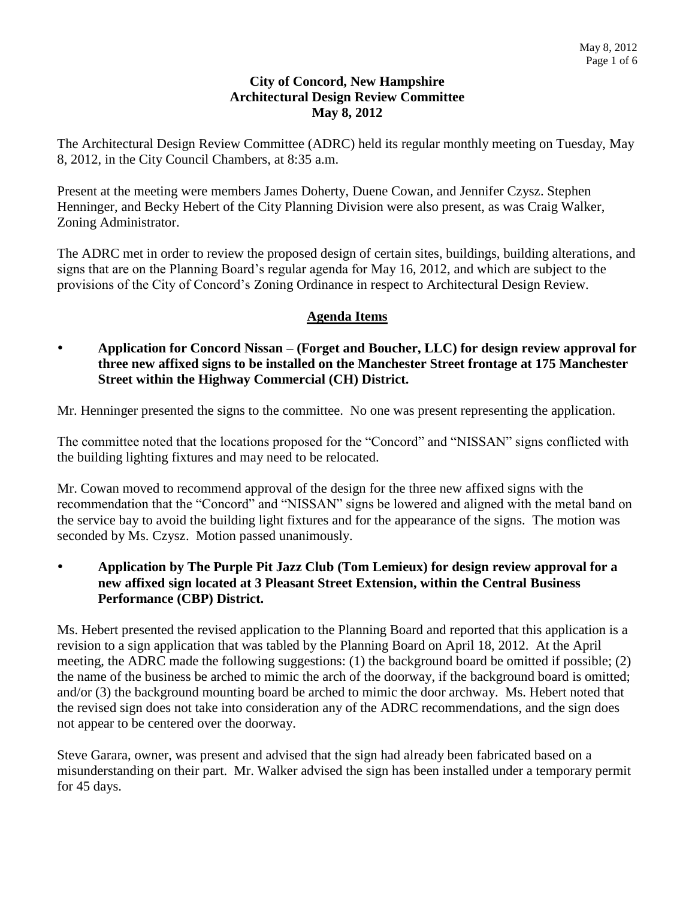### **City of Concord, New Hampshire Architectural Design Review Committee May 8, 2012**

The Architectural Design Review Committee (ADRC) held its regular monthly meeting on Tuesday, May 8, 2012, in the City Council Chambers, at 8:35 a.m.

Present at the meeting were members James Doherty, Duene Cowan, and Jennifer Czysz. Stephen Henninger, and Becky Hebert of the City Planning Division were also present, as was Craig Walker, Zoning Administrator.

The ADRC met in order to review the proposed design of certain sites, buildings, building alterations, and signs that are on the Planning Board's regular agenda for May 16, 2012, and which are subject to the provisions of the City of Concord's Zoning Ordinance in respect to Architectural Design Review.

# **Agenda Items**

 **Application for Concord Nissan – (Forget and Boucher, LLC) for design review approval for three new affixed signs to be installed on the Manchester Street frontage at 175 Manchester Street within the Highway Commercial (CH) District.** 

Mr. Henninger presented the signs to the committee. No one was present representing the application.

The committee noted that the locations proposed for the "Concord" and "NISSAN" signs conflicted with the building lighting fixtures and may need to be relocated.

Mr. Cowan moved to recommend approval of the design for the three new affixed signs with the recommendation that the "Concord" and "NISSAN" signs be lowered and aligned with the metal band on the service bay to avoid the building light fixtures and for the appearance of the signs. The motion was seconded by Ms. Czysz. Motion passed unanimously.

 **Application by The Purple Pit Jazz Club (Tom Lemieux) for design review approval for a new affixed sign located at 3 Pleasant Street Extension, within the Central Business Performance (CBP) District.** 

Ms. Hebert presented the revised application to the Planning Board and reported that this application is a revision to a sign application that was tabled by the Planning Board on April 18, 2012. At the April meeting, the ADRC made the following suggestions: (1) the background board be omitted if possible; (2) the name of the business be arched to mimic the arch of the doorway, if the background board is omitted; and/or (3) the background mounting board be arched to mimic the door archway. Ms. Hebert noted that the revised sign does not take into consideration any of the ADRC recommendations, and the sign does not appear to be centered over the doorway.

Steve Garara, owner, was present and advised that the sign had already been fabricated based on a misunderstanding on their part. Mr. Walker advised the sign has been installed under a temporary permit for 45 days.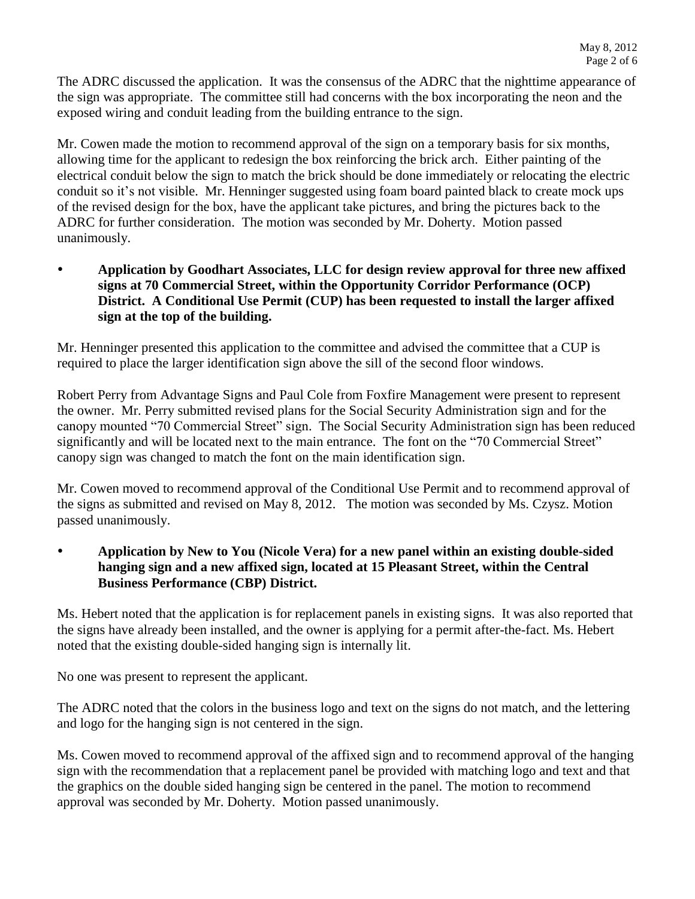The ADRC discussed the application. It was the consensus of the ADRC that the nighttime appearance of the sign was appropriate. The committee still had concerns with the box incorporating the neon and the exposed wiring and conduit leading from the building entrance to the sign.

Mr. Cowen made the motion to recommend approval of the sign on a temporary basis for six months, allowing time for the applicant to redesign the box reinforcing the brick arch. Either painting of the electrical conduit below the sign to match the brick should be done immediately or relocating the electric conduit so it's not visible. Mr. Henninger suggested using foam board painted black to create mock ups of the revised design for the box, have the applicant take pictures, and bring the pictures back to the ADRC for further consideration. The motion was seconded by Mr. Doherty. Motion passed unanimously.

 **Application by Goodhart Associates, LLC for design review approval for three new affixed signs at 70 Commercial Street, within the Opportunity Corridor Performance (OCP) District. A Conditional Use Permit (CUP) has been requested to install the larger affixed sign at the top of the building.** 

Mr. Henninger presented this application to the committee and advised the committee that a CUP is required to place the larger identification sign above the sill of the second floor windows.

Robert Perry from Advantage Signs and Paul Cole from Foxfire Management were present to represent the owner. Mr. Perry submitted revised plans for the Social Security Administration sign and for the canopy mounted "70 Commercial Street" sign. The Social Security Administration sign has been reduced significantly and will be located next to the main entrance. The font on the "70 Commercial Street" canopy sign was changed to match the font on the main identification sign.

Mr. Cowen moved to recommend approval of the Conditional Use Permit and to recommend approval of the signs as submitted and revised on May 8, 2012. The motion was seconded by Ms. Czysz. Motion passed unanimously.

 **Application by New to You (Nicole Vera) for a new panel within an existing double-sided hanging sign and a new affixed sign, located at 15 Pleasant Street, within the Central Business Performance (CBP) District.** 

Ms. Hebert noted that the application is for replacement panels in existing signs. It was also reported that the signs have already been installed, and the owner is applying for a permit after-the-fact. Ms. Hebert noted that the existing double-sided hanging sign is internally lit.

No one was present to represent the applicant.

The ADRC noted that the colors in the business logo and text on the signs do not match, and the lettering and logo for the hanging sign is not centered in the sign.

Ms. Cowen moved to recommend approval of the affixed sign and to recommend approval of the hanging sign with the recommendation that a replacement panel be provided with matching logo and text and that the graphics on the double sided hanging sign be centered in the panel. The motion to recommend approval was seconded by Mr. Doherty. Motion passed unanimously.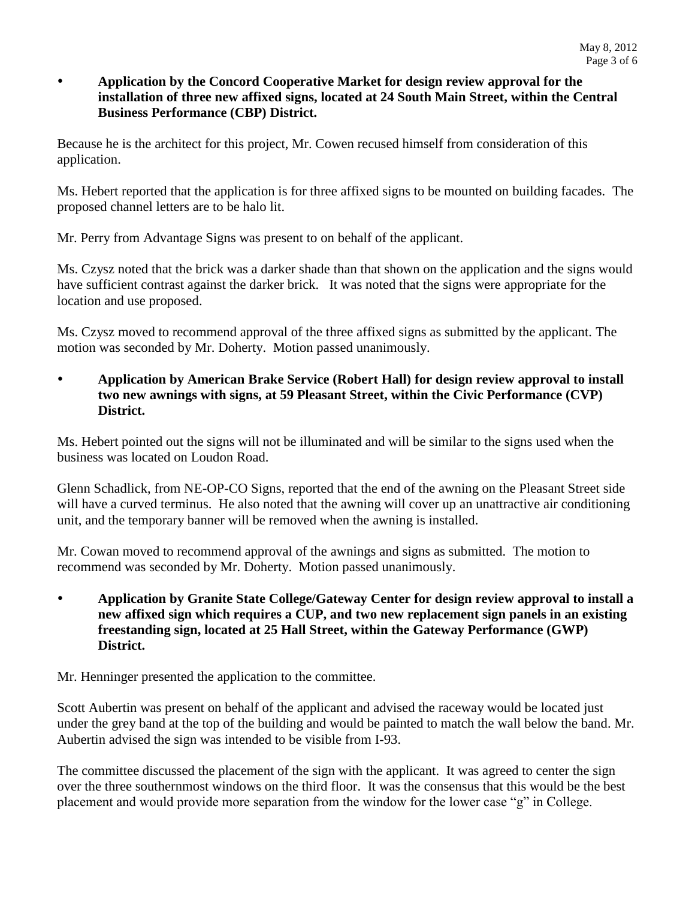### **Application by the Concord Cooperative Market for design review approval for the installation of three new affixed signs, located at 24 South Main Street, within the Central Business Performance (CBP) District.**

Because he is the architect for this project, Mr. Cowen recused himself from consideration of this application.

Ms. Hebert reported that the application is for three affixed signs to be mounted on building facades. The proposed channel letters are to be halo lit.

Mr. Perry from Advantage Signs was present to on behalf of the applicant.

Ms. Czysz noted that the brick was a darker shade than that shown on the application and the signs would have sufficient contrast against the darker brick. It was noted that the signs were appropriate for the location and use proposed.

Ms. Czysz moved to recommend approval of the three affixed signs as submitted by the applicant. The motion was seconded by Mr. Doherty. Motion passed unanimously.

 **Application by American Brake Service (Robert Hall) for design review approval to install two new awnings with signs, at 59 Pleasant Street, within the Civic Performance (CVP) District.** 

Ms. Hebert pointed out the signs will not be illuminated and will be similar to the signs used when the business was located on Loudon Road.

Glenn Schadlick, from NE-OP-CO Signs, reported that the end of the awning on the Pleasant Street side will have a curved terminus. He also noted that the awning will cover up an unattractive air conditioning unit, and the temporary banner will be removed when the awning is installed.

Mr. Cowan moved to recommend approval of the awnings and signs as submitted. The motion to recommend was seconded by Mr. Doherty. Motion passed unanimously.

 **Application by Granite State College/Gateway Center for design review approval to install a new affixed sign which requires a CUP, and two new replacement sign panels in an existing freestanding sign, located at 25 Hall Street, within the Gateway Performance (GWP) District.** 

Mr. Henninger presented the application to the committee.

Scott Aubertin was present on behalf of the applicant and advised the raceway would be located just under the grey band at the top of the building and would be painted to match the wall below the band. Mr. Aubertin advised the sign was intended to be visible from I-93.

The committee discussed the placement of the sign with the applicant. It was agreed to center the sign over the three southernmost windows on the third floor. It was the consensus that this would be the best placement and would provide more separation from the window for the lower case "g" in College.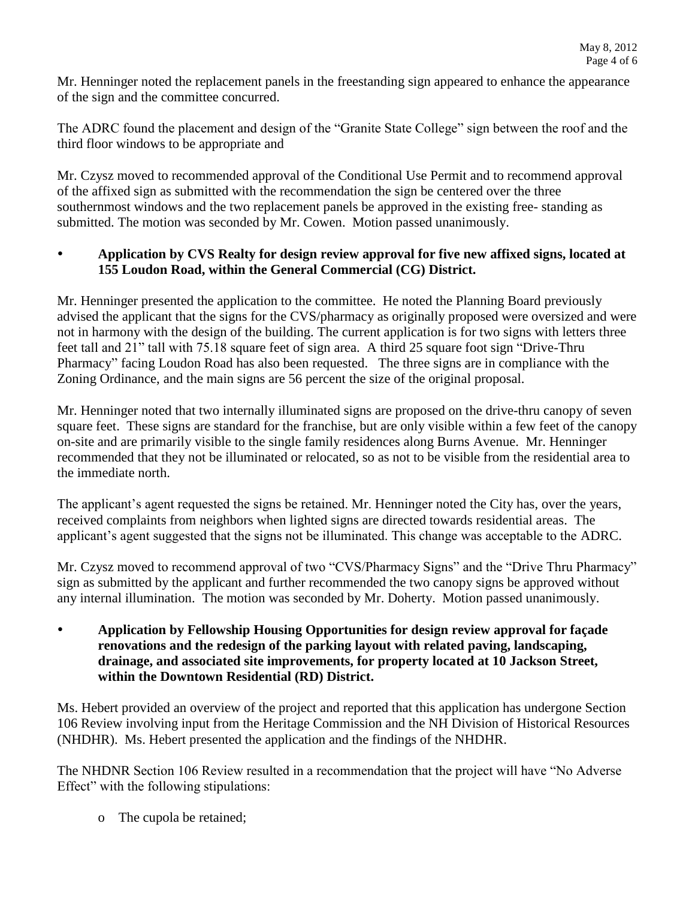Mr. Henninger noted the replacement panels in the freestanding sign appeared to enhance the appearance of the sign and the committee concurred.

The ADRC found the placement and design of the "Granite State College" sign between the roof and the third floor windows to be appropriate and

Mr. Czysz moved to recommended approval of the Conditional Use Permit and to recommend approval of the affixed sign as submitted with the recommendation the sign be centered over the three southernmost windows and the two replacement panels be approved in the existing free- standing as submitted. The motion was seconded by Mr. Cowen. Motion passed unanimously.

## **Application by CVS Realty for design review approval for five new affixed signs, located at 155 Loudon Road, within the General Commercial (CG) District.**

Mr. Henninger presented the application to the committee. He noted the Planning Board previously advised the applicant that the signs for the CVS/pharmacy as originally proposed were oversized and were not in harmony with the design of the building. The current application is for two signs with letters three feet tall and 21" tall with 75.18 square feet of sign area. A third 25 square foot sign "Drive-Thru Pharmacy" facing Loudon Road has also been requested. The three signs are in compliance with the Zoning Ordinance, and the main signs are 56 percent the size of the original proposal.

Mr. Henninger noted that two internally illuminated signs are proposed on the drive-thru canopy of seven square feet. These signs are standard for the franchise, but are only visible within a few feet of the canopy on-site and are primarily visible to the single family residences along Burns Avenue. Mr. Henninger recommended that they not be illuminated or relocated, so as not to be visible from the residential area to the immediate north.

The applicant's agent requested the signs be retained. Mr. Henninger noted the City has, over the years, received complaints from neighbors when lighted signs are directed towards residential areas. The applicant's agent suggested that the signs not be illuminated. This change was acceptable to the ADRC.

Mr. Czysz moved to recommend approval of two "CVS/Pharmacy Signs" and the "Drive Thru Pharmacy" sign as submitted by the applicant and further recommended the two canopy signs be approved without any internal illumination. The motion was seconded by Mr. Doherty. Motion passed unanimously.

 **Application by Fellowship Housing Opportunities for design review approval for façade renovations and the redesign of the parking layout with related paving, landscaping, drainage, and associated site improvements, for property located at 10 Jackson Street, within the Downtown Residential (RD) District.**

Ms. Hebert provided an overview of the project and reported that this application has undergone Section 106 Review involving input from the Heritage Commission and the NH Division of Historical Resources (NHDHR). Ms. Hebert presented the application and the findings of the NHDHR.

The NHDNR Section 106 Review resulted in a recommendation that the project will have "No Adverse Effect" with the following stipulations:

o The cupola be retained;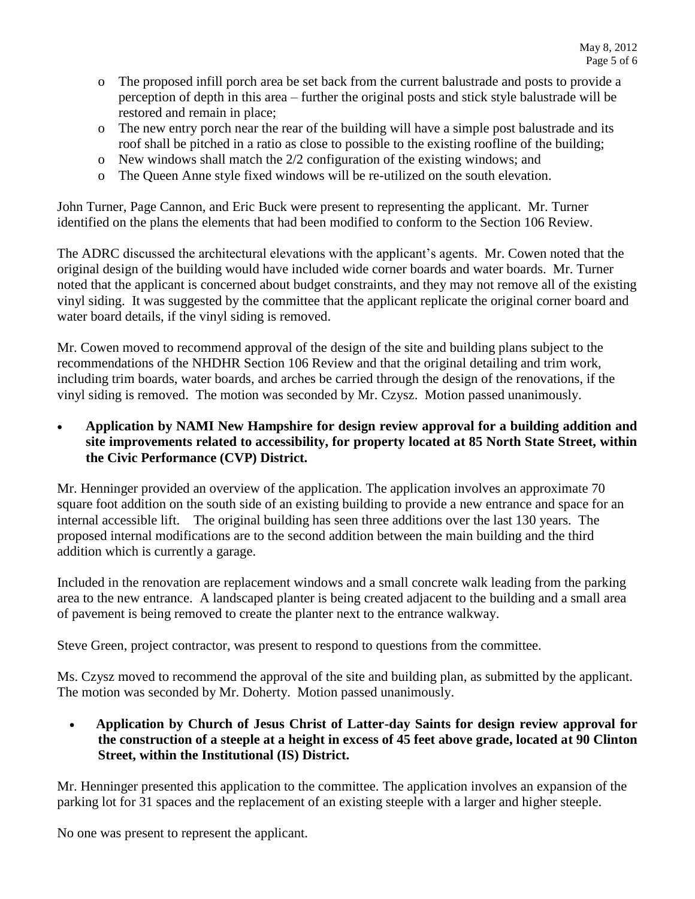- o The proposed infill porch area be set back from the current balustrade and posts to provide a perception of depth in this area – further the original posts and stick style balustrade will be restored and remain in place;
- o The new entry porch near the rear of the building will have a simple post balustrade and its roof shall be pitched in a ratio as close to possible to the existing roofline of the building;
- o New windows shall match the 2/2 configuration of the existing windows; and
- o The Queen Anne style fixed windows will be re-utilized on the south elevation.

John Turner, Page Cannon, and Eric Buck were present to representing the applicant. Mr. Turner identified on the plans the elements that had been modified to conform to the Section 106 Review.

The ADRC discussed the architectural elevations with the applicant's agents. Mr. Cowen noted that the original design of the building would have included wide corner boards and water boards. Mr. Turner noted that the applicant is concerned about budget constraints, and they may not remove all of the existing vinyl siding. It was suggested by the committee that the applicant replicate the original corner board and water board details, if the vinyl siding is removed.

Mr. Cowen moved to recommend approval of the design of the site and building plans subject to the recommendations of the NHDHR Section 106 Review and that the original detailing and trim work, including trim boards, water boards, and arches be carried through the design of the renovations, if the vinyl siding is removed. The motion was seconded by Mr. Czysz. Motion passed unanimously.

 **Application by NAMI New Hampshire for design review approval for a building addition and site improvements related to accessibility, for property located at 85 North State Street, within the Civic Performance (CVP) District.**

Mr. Henninger provided an overview of the application. The application involves an approximate 70 square foot addition on the south side of an existing building to provide a new entrance and space for an internal accessible lift. The original building has seen three additions over the last 130 years. The proposed internal modifications are to the second addition between the main building and the third addition which is currently a garage.

Included in the renovation are replacement windows and a small concrete walk leading from the parking area to the new entrance. A landscaped planter is being created adjacent to the building and a small area of pavement is being removed to create the planter next to the entrance walkway.

Steve Green, project contractor, was present to respond to questions from the committee.

Ms. Czysz moved to recommend the approval of the site and building plan, as submitted by the applicant. The motion was seconded by Mr. Doherty. Motion passed unanimously.

 **Application by Church of Jesus Christ of Latter-day Saints for design review approval for the construction of a steeple at a height in excess of 45 feet above grade, located at 90 Clinton Street, within the Institutional (IS) District.** 

Mr. Henninger presented this application to the committee. The application involves an expansion of the parking lot for 31 spaces and the replacement of an existing steeple with a larger and higher steeple.

No one was present to represent the applicant.